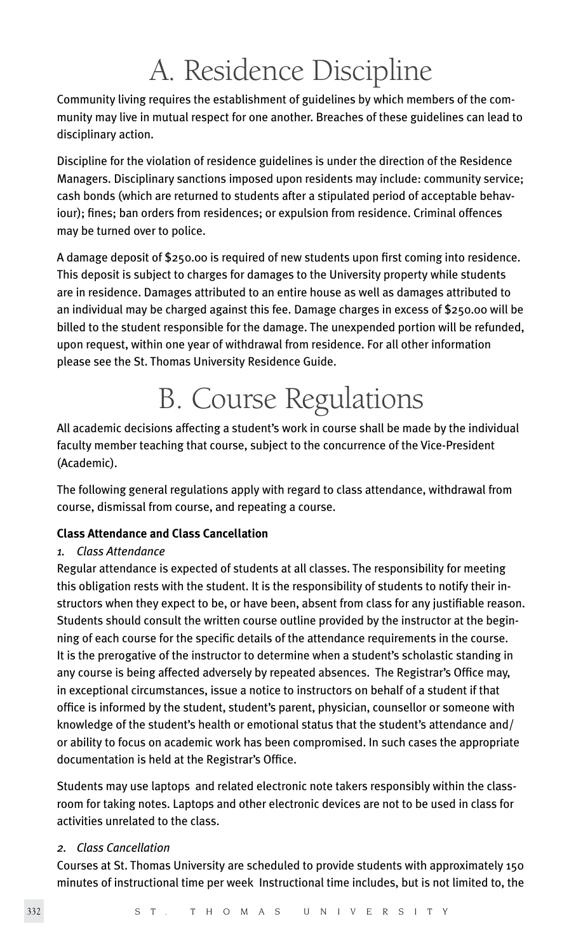## A. Residence Discipline

Community living requires the establishment of guidelines by which members of the community may live in mutual respect for one another. Breaches of these guidelines can lead to disciplinary action.

Discipline for the violation of residence guidelines is under the direction of the Residence Managers. Disciplinary sanctions imposed upon residents may include: community service; cash bonds (which are returned to students after a stipulated period of acceptable behaviour); fines; ban orders from residences; or expulsion from residence. Criminal offences may be turned over to police.

A damage deposit of \$250.00 is required of new students upon first coming into residence. This deposit is subject to charges for damages to the University property while students are in residence. Damages attributed to an entire house as well as damages attributed to an individual may be charged against this fee. Damage charges in excess of \$250.00 will be billed to the student responsible for the damage. The unexpended portion will be refunded, upon request, within one year of withdrawal from residence. For all other information please see the St. Thomas University Residence Guide.

# B. Course Regulations

All academic decisions affecting a student's work in course shall be made by the individual faculty member teaching that course, subject to the concurrence of the Vice-President (Academic).

The following general regulations apply with regard to class attendance, withdrawal from course, dismissal from course, and repeating a course.

## **Class Attendance and Class Cancellation**

## *1. Class Attendance*

Regular attendance is expected of students at all classes. The responsibility for meeting this obligation rests with the student. It is the responsibility of students to notify their instructors when they expect to be, or have been, absent from class for any justifiable reason. Students should consult the written course outline provided by the instructor at the beginning of each course for the specific details of the attendance requirements in the course. It is the prerogative of the instructor to determine when a student's scholastic standing in any course is being affected adversely by repeated absences. The Registrar's Office may, in exceptional circumstances, issue a notice to instructors on behalf of a student if that office is informed by the student, student's parent, physician, counsellor or someone with knowledge of the student's health or emotional status that the student's attendance and/ or ability to focus on academic work has been compromised. In such cases the appropriate documentation is held at the Registrar's Office.

Students may use laptops and related electronic note takers responsibly within the classroom for taking notes. Laptops and other electronic devices are not to be used in class for activities unrelated to the class.

## *2. Class Cancellation*

Courses at St. Thomas University are scheduled to provide students with approximately 150 minutes of instructional time per week Instructional time includes, but is not limited to, the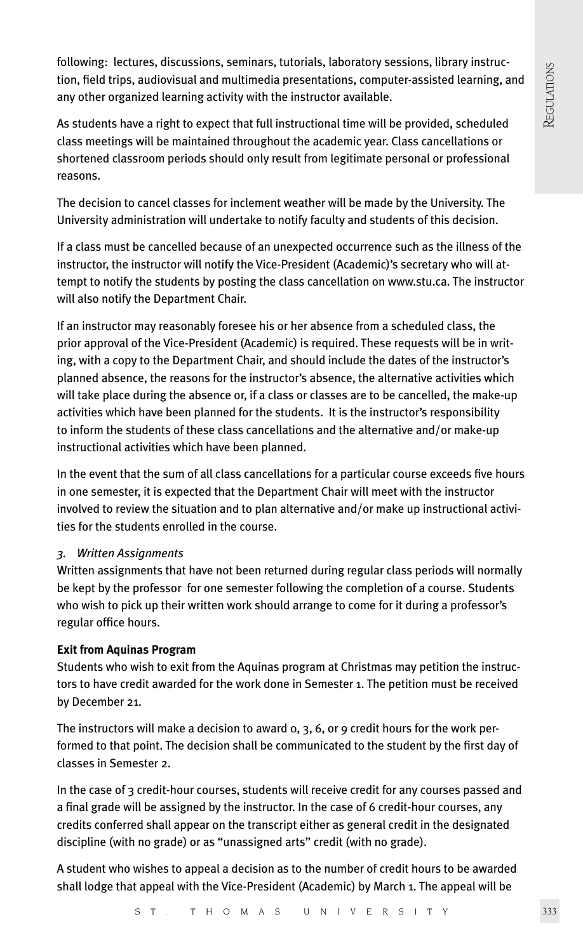following: lectures, discussions, seminars, tutorials, laboratory sessions, library instruction, field trips, audiovisual and multimedia presentations, computer-assisted learning, and any other organized learning activity with the instructor available.

As students have a right to expect that full instructional time will be provided, scheduled class meetings will be maintained throughout the academic year. Class cancellations or shortened classroom periods should only result from legitimate personal or professional reasons.

The decision to cancel classes for inclement weather will be made by the University. The University administration will undertake to notify faculty and students of this decision.

If a class must be cancelled because of an unexpected occurrence such as the illness of the instructor, the instructor will notify the Vice-President (Academic)'s secretary who will attempt to notify the students by posting the class cancellation on www.stu.ca. The instructor will also notify the Department Chair.

If an instructor may reasonably foresee his or her absence from a scheduled class, the prior approval of the Vice-President (Academic) is required. These requests will be in writing, with a copy to the Department Chair, and should include the dates of the instructor's planned absence, the reasons for the instructor's absence, the alternative activities which will take place during the absence or, if a class or classes are to be cancelled, the make-up activities which have been planned for the students. It is the instructor's responsibility to inform the students of these class cancellations and the alternative and/or make-up instructional activities which have been planned.

In the event that the sum of all class cancellations for a particular course exceeds five hours in one semester, it is expected that the Department Chair will meet with the instructor involved to review the situation and to plan alternative and/or make up instructional activities for the students enrolled in the course.

## *3. Written Assignments*

Written assignments that have not been returned during regular class periods will normally be kept by the professor for one semester following the completion of a course. Students who wish to pick up their written work should arrange to come for it during a professor's regular office hours.

#### **Exit from Aquinas Program**

Students who wish to exit from the Aquinas program at Christmas may petition the instructors to have credit awarded for the work done in Semester 1. The petition must be received by December 21.

The instructors will make a decision to award  $o$ ,  $3$ ,  $6$ , or  $9$  credit hours for the work performed to that point. The decision shall be communicated to the student by the first day of classes in Semester 2.

In the case of 3 credit-hour courses, students will receive credit for any courses passed and a final grade will be assigned by the instructor. In the case of 6 credit-hour courses, any credits conferred shall appear on the transcript either as general credit in the designated discipline (with no grade) or as "unassigned arts" credit (with no grade).

A student who wishes to appeal a decision as to the number of credit hours to be awarded shall lodge that appeal with the Vice-President (Academic) by March 1. The appeal will be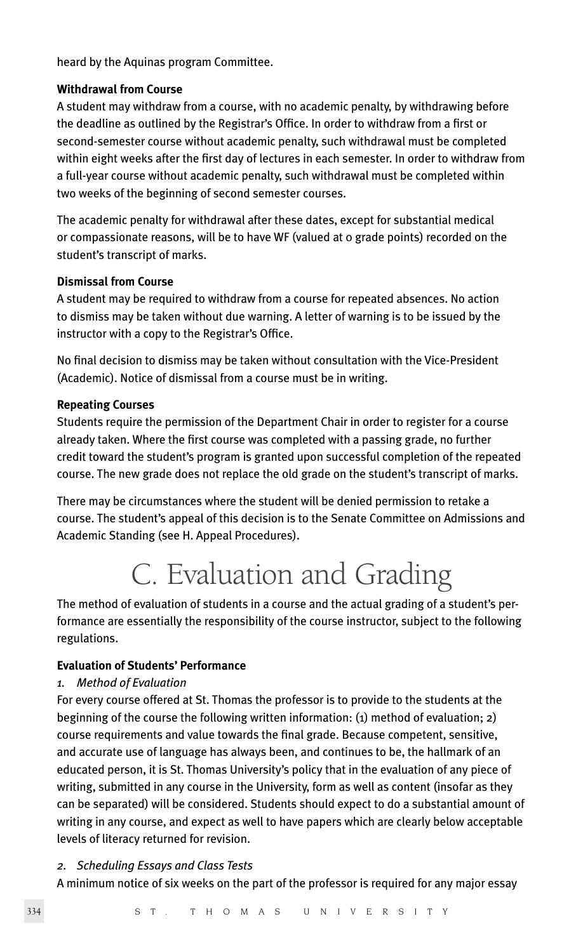heard by the Aquinas program Committee.

#### **Withdrawal from Course**

A student may withdraw from a course, with no academic penalty, by withdrawing before the deadline as outlined by the Registrar's Office. In order to withdraw from a first or second-semester course without academic penalty, such withdrawal must be completed within eight weeks after the first day of lectures in each semester. In order to withdraw from a full-year course without academic penalty, such withdrawal must be completed within two weeks of the beginning of second semester courses.

The academic penalty for withdrawal after these dates, except for substantial medical or compassionate reasons, will be to have WF (valued at 0 grade points) recorded on the student's transcript of marks.

#### **Dismissal from Course**

A student may be required to withdraw from a course for repeated absences. No action to dismiss may be taken without due warning. A letter of warning is to be issued by the instructor with a copy to the Registrar's Office.

No final decision to dismiss may be taken without consultation with the Vice-President (Academic). Notice of dismissal from a course must be in writing.

#### **Repeating Courses**

Students require the permission of the Department Chair in order to register for a course already taken. Where the first course was completed with a passing grade, no further credit toward the student's program is granted upon successful completion of the repeated course. The new grade does not replace the old grade on the student's transcript of marks.

There may be circumstances where the student will be denied permission to retake a course. The student's appeal of this decision is to the Senate Committee on Admissions and Academic Standing (see H. Appeal Procedures).

## C. Evaluation and Grading

The method of evaluation of students in a course and the actual grading of a student's performance are essentially the responsibility of the course instructor, subject to the following regulations.

#### **Evaluation of Students' Performance**

#### *1. Method of Evaluation*

For every course offered at St. Thomas the professor is to provide to the students at the beginning of the course the following written information: (1) method of evaluation; 2) course requirements and value towards the final grade. Because competent, sensitive, and accurate use of language has always been, and continues to be, the hallmark of an educated person, it is St. Thomas University's policy that in the evaluation of any piece of writing, submitted in any course in the University, form as well as content (insofar as they can be separated) will be considered. Students should expect to do a substantial amount of writing in any course, and expect as well to have papers which are clearly below acceptable levels of literacy returned for revision.

#### *2. Scheduling Essays and Class Tests*

A minimum notice of six weeks on the part of the professor is required for any major essay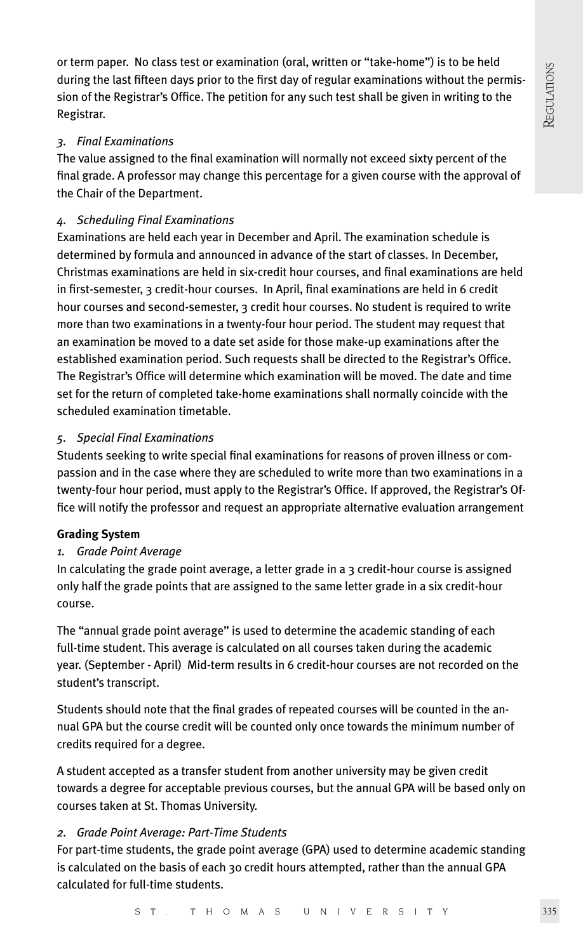or term paper. No class test or examination (oral, written or "take-home") is to be held during the last fifteen days prior to the first day of regular examinations without the permission of the Registrar's Office. The petition for any such test shall be given in writing to the Registrar.

## *3. Final Examinations*

The value assigned to the final examination will normally not exceed sixty percent of the final grade. A professor may change this percentage for a given course with the approval of the Chair of the Department.

## *4. Scheduling Final Examinations*

Examinations are held each year in December and April. The examination schedule is determined by formula and announced in advance of the start of classes. In December, Christmas examinations are held in six-credit hour courses, and final examinations are held in first-semester, 3 credit-hour courses. In April, final examinations are held in 6 credit hour courses and second-semester, 3 credit hour courses. No student is required to write more than two examinations in a twenty-four hour period. The student may request that an examination be moved to a date set aside for those make-up examinations after the established examination period. Such requests shall be directed to the Registrar's Office. The Registrar's Office will determine which examination will be moved. The date and time set for the return of completed take-home examinations shall normally coincide with the scheduled examination timetable.

## *5. Special Final Examinations*

Students seeking to write special final examinations for reasons of proven illness or compassion and in the case where they are scheduled to write more than two examinations in a twenty-four hour period, must apply to the Registrar's Office. If approved, the Registrar's Office will notify the professor and request an appropriate alternative evaluation arrangement

## **Grading System**

## *1. Grade Point Average*

In calculating the grade point average, a letter grade in a 3 credit-hour course is assigned only half the grade points that are assigned to the same letter grade in a six credit-hour course.

The "annual grade point average" is used to determine the academic standing of each full-time student. This average is calculated on all courses taken during the academic year. (September - April) Mid-term results in 6 credit-hour courses are not recorded on the student's transcript.

Students should note that the final grades of repeated courses will be counted in the annual GPA but the course credit will be counted only once towards the minimum number of credits required for a degree.

A student accepted as a transfer student from another university may be given credit towards a degree for acceptable previous courses, but the annual GPA will be based only on courses taken at St. Thomas University.

## *2. Grade Point Average: Part-Time Students*

For part-time students, the grade point average (GPA) used to determine academic standing is calculated on the basis of each 30 credit hours attempted, rather than the annual GPA calculated for full-time students.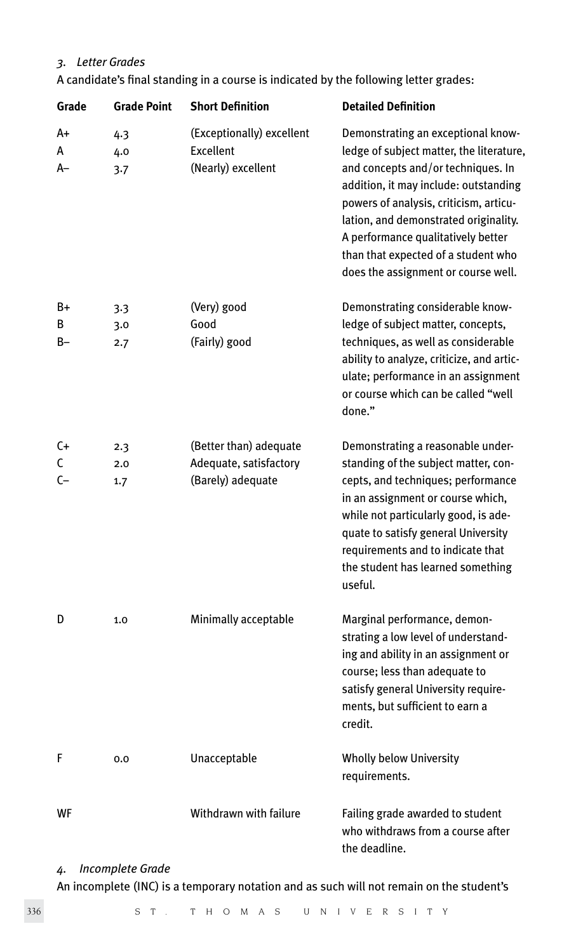## *3. Letter Grades*

| Grade            | <b>Grade Point</b> | <b>Short Definition</b>                                               | <b>Detailed Definition</b>                                                                                                                                                                                                                                                                                                                                           |
|------------------|--------------------|-----------------------------------------------------------------------|----------------------------------------------------------------------------------------------------------------------------------------------------------------------------------------------------------------------------------------------------------------------------------------------------------------------------------------------------------------------|
| A+<br>А<br>$A-$  | 4.3<br>4.0<br>3.7  | (Exceptionally) excellent<br><b>Excellent</b><br>(Nearly) excellent   | Demonstrating an exceptional know-<br>ledge of subject matter, the literature,<br>and concepts and/or techniques. In<br>addition, it may include: outstanding<br>powers of analysis, criticism, articu-<br>lation, and demonstrated originality.<br>A performance qualitatively better<br>than that expected of a student who<br>does the assignment or course well. |
| B+<br>В<br>$B -$ | 3.3<br>3.0<br>2.7  | (Very) good<br>Good<br>(Fairly) good                                  | Demonstrating considerable know-<br>ledge of subject matter, concepts,<br>techniques, as well as considerable<br>ability to analyze, criticize, and artic-<br>ulate; performance in an assignment<br>or course which can be called "well<br>done."                                                                                                                   |
| C+<br>C<br>$C-$  | 2.3<br>2.0<br>1.7  | (Better than) adequate<br>Adequate, satisfactory<br>(Barely) adequate | Demonstrating a reasonable under-<br>standing of the subject matter, con-<br>cepts, and techniques; performance<br>in an assignment or course which,<br>while not particularly good, is ade-<br>quate to satisfy general University<br>requirements and to indicate that<br>the student has learned something<br>useful.                                             |
| D                | 1.0                | Minimally acceptable                                                  | Marginal performance, demon-<br>strating a low level of understand-<br>ing and ability in an assignment or<br>course; less than adequate to<br>satisfy general University require-<br>ments, but sufficient to earn a<br>credit.                                                                                                                                     |
| F                | 0.0                | Unacceptable                                                          | Wholly below University<br>requirements.                                                                                                                                                                                                                                                                                                                             |
| WF               |                    | Withdrawn with failure                                                | Failing grade awarded to student<br>who withdraws from a course after<br>the deadline.                                                                                                                                                                                                                                                                               |

## *4. Incomplete Grade*

An incomplete (INC) is a temporary notation and as such will not remain on the student's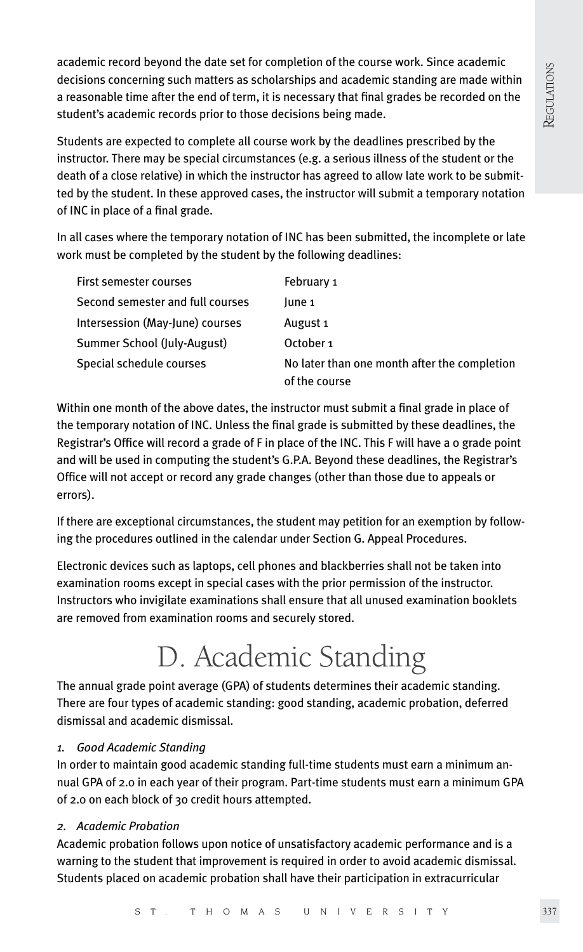academic record beyond the date set for completion of the course work. Since academic decisions concerning such matters as scholarships and academic standing are made within a reasonable time after the end of term, it is necessary that final grades be recorded on the student's academic records prior to those decisions being made.

Students are expected to complete all course work by the deadlines prescribed by the instructor. There may be special circumstances (e.g. a serious illness of the student or the death of a close relative) in which the instructor has agreed to allow late work to be submitted by the student. In these approved cases, the instructor will submit a temporary notation of INC in place of a final grade.

In all cases where the temporary notation of INC has been submitted, the incomplete or late work must be completed by the student by the following deadlines:

| First semester courses           | February 1                                                    |
|----------------------------------|---------------------------------------------------------------|
| Second semester and full courses | lune 1                                                        |
| Intersession (May-June) courses  | August 1                                                      |
| Summer School (July-August)      | October 1                                                     |
| Special schedule courses         | No later than one month after the completion<br>of the course |

Within one month of the above dates, the instructor must submit a final grade in place of the temporary notation of INC. Unless the final grade is submitted by these deadlines, the Registrar's Office will record a grade of F in place of the INC. This F will have a 0 grade point and will be used in computing the student's G.P.A. Beyond these deadlines, the Registrar's Office will not accept or record any grade changes (other than those due to appeals or errors).

If there are exceptional circumstances, the student may petition for an exemption by following the procedures outlined in the calendar under Section G. Appeal Procedures.

Electronic devices such as laptops, cell phones and blackberries shall not be taken into examination rooms except in special cases with the prior permission of the instructor. Instructors who invigilate examinations shall ensure that all unused examination booklets are removed from examination rooms and securely stored.

# D. Academic Standing

The annual grade point average (GPA) of students determines their academic standing. There are four types of academic standing: good standing, academic probation, deferred dismissal and academic dismissal.

## *1. Good Academic Standing*

In order to maintain good academic standing full-time students must earn a minimum annual GPA of 2.0 in each year of their program. Part-time students must earn a minimum GPA of 2.0 on each block of 30 credit hours attempted.

## *2. Academic Probation*

Academic probation follows upon notice of unsatisfactory academic performance and is a warning to the student that improvement is required in order to avoid academic dismissal. Students placed on academic probation shall have their participation in extracurricular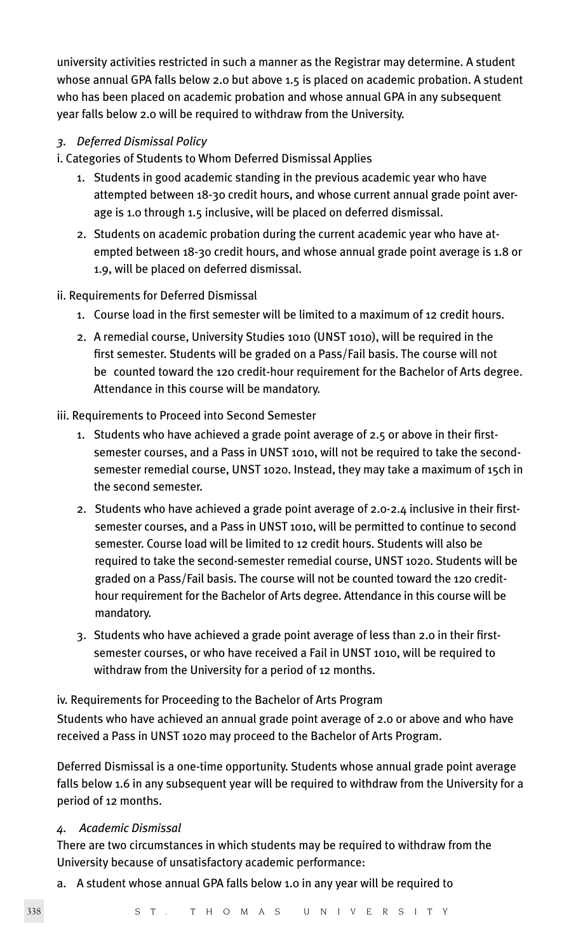university activities restricted in such a manner as the Registrar may determine. A student whose annual GPA falls below 2.0 but above 1.5 is placed on academic probation. A student who has been placed on academic probation and whose annual GPA in any subsequent year falls below 2.0 will be required to withdraw from the University.

## *3. Deferred Dismissal Policy*

- i. Categories of Students to Whom Deferred Dismissal Applies
	- 1. Students in good academic standing in the previous academic year who have attempted between 18-30 credit hours, and whose current annual grade point aver age is 1.0 through 1.5 inclusive, will be placed on deferred dismissal.
	- 2. Students on academic probation during the current academic year who have at empted between 18-30 credit hours, and whose annual grade point average is 1.8 or 1.9, will be placed on deferred dismissal.

#### ii. Requirements for Deferred Dismissal

- 1. Course load in the first semester will be limited to a maximum of 12 credit hours.
- 2. A remedial course, University Studies 1010 (UNST 1010), will be required in the first semester. Students will be graded on a Pass/Fail basis. The course will not be counted toward the 120 credit-hour requirement for the Bachelor of Arts degree. Attendance in this course will be mandatory.

#### iii. Requirements to Proceed into Second Semester

- 1. Students who have achieved a grade point average of 2.5 or above in their first semester courses, and a Pass in UNST 1010, will not be required to take the second semester remedial course, UNST 1020. Instead, they may take a maximum of 15ch in the second semester.
- 2. Students who have achieved a grade point average of 2.0-2.4 inclusive in their firstsemester courses, and a Pass in UNST 1010, will be permitted to continue to second semester. Course load will be limited to 12 credit hours. Students will also be required to take the second-semester remedial course, UNST 1020. Students will be graded on a Pass/Fail basis. The course will not be counted toward the 120 credit hour requirement for the Bachelor of Arts degree. Attendance in this course will be mandatory.
- 3. Students who have achieved a grade point average of less than 2.0 in their first semester courses, or who have received a Fail in UNST 1010, will be required to withdraw from the University for a period of 12 months.

#### iv. Requirements for Proceeding to the Bachelor of Arts Program

Students who have achieved an annual grade point average of 2.0 or above and who have received a Pass in UNST 1020 may proceed to the Bachelor of Arts Program.

Deferred Dismissal is a one-time opportunity. Students whose annual grade point average falls below 1.6 in any subsequent year will be required to withdraw from the University for a period of 12 months.

#### *4. Academic Dismissal*

There are two circumstances in which students may be required to withdraw from the University because of unsatisfactory academic performance:

a. A student whose annual GPA falls below 1.0 in any year will be required to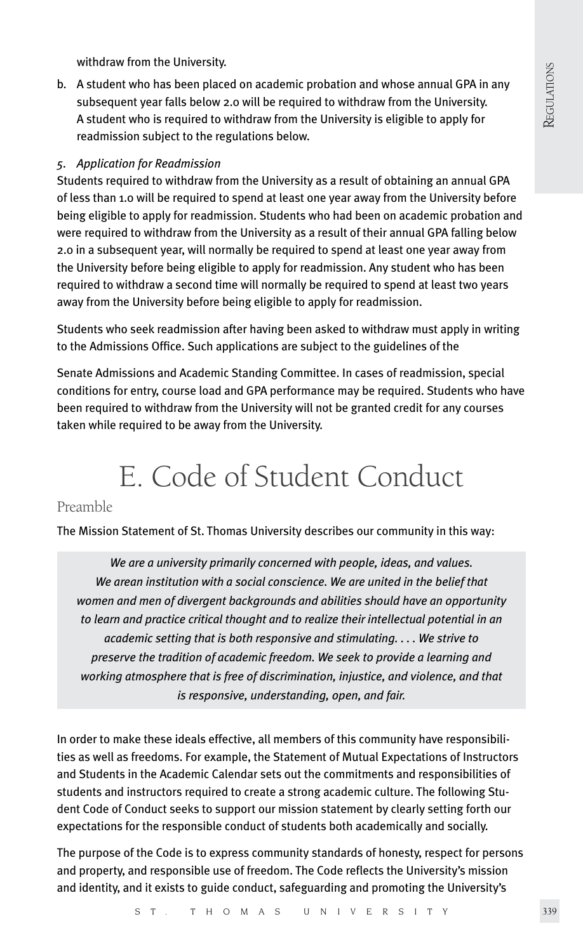withdraw from the University.

b. A student who has been placed on academic probation and whose annual GPA in any subsequent year falls below 2.0 will be required to withdraw from the University. A student who is required to withdraw from the University is eligible to apply for readmission subject to the regulations below.

#### *5. Application for Readmission*

Students required to withdraw from the University as a result of obtaining an annual GPA of less than 1.0 will be required to spend at least one year away from the University before being eligible to apply for readmission. Students who had been on academic probation and were required to withdraw from the University as a result of their annual GPA falling below 2.0 in a subsequent year, will normally be required to spend at least one year away from the University before being eligible to apply for readmission. Any student who has been required to withdraw a second time will normally be required to spend at least two years away from the University before being eligible to apply for readmission.

Students who seek readmission after having been asked to withdraw must apply in writing to the Admissions Office. Such applications are subject to the guidelines of the

Senate Admissions and Academic Standing Committee. In cases of readmission, special conditions for entry, course load and GPA performance may be required. Students who have been required to withdraw from the University will not be granted credit for any courses taken while required to be away from the University.

## E. Code of Student Conduct

## Preamble

The Mission Statement of St. Thomas University describes our community in this way:

*We are a university primarily concerned with people, ideas, and values. We arean institution with a social conscience. We are united in the belief that women and men of divergent backgrounds and abilities should have an opportunity to learn and practice critical thought and to realize their intellectual potential in an academic setting that is both responsive and stimulating. . . . We strive to preserve the tradition of academic freedom. We seek to provide a learning and working atmosphere that is free of discrimination, injustice, and violence, and that is responsive, understanding, open, and fair.*

In order to make these ideals effective, all members of this community have responsibilities as well as freedoms. For example, the Statement of Mutual Expectations of Instructors and Students in the Academic Calendar sets out the commitments and responsibilities of students and instructors required to create a strong academic culture. The following Student Code of Conduct seeks to support our mission statement by clearly setting forth our expectations for the responsible conduct of students both academically and socially.

The purpose of the Code is to express community standards of honesty, respect for persons and property, and responsible use of freedom. The Code reflects the University's mission and identity, and it exists to guide conduct, safeguarding and promoting the University's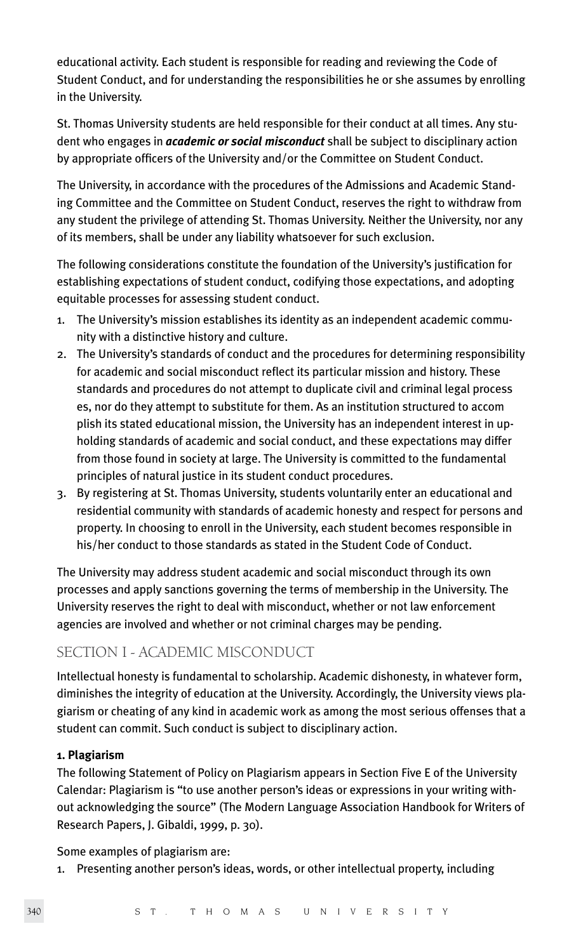educational activity. Each student is responsible for reading and reviewing the Code of Student Conduct, and for understanding the responsibilities he or she assumes by enrolling in the University.

St. Thomas University students are held responsible for their conduct at all times. Any student who engages in *academic or social misconduct* shall be subject to disciplinary action by appropriate officers of the University and/or the Committee on Student Conduct.

The University, in accordance with the procedures of the Admissions and Academic Standing Committee and the Committee on Student Conduct, reserves the right to withdraw from any student the privilege of attending St. Thomas University. Neither the University, nor any of its members, shall be under any liability whatsoever for such exclusion.

The following considerations constitute the foundation of the University's justification for establishing expectations of student conduct, codifying those expectations, and adopting equitable processes for assessing student conduct.

- 1. The University's mission establishes its identity as an independent academic community with a distinctive history and culture.
- 2. The University's standards of conduct and the procedures for determining responsibility for academic and social misconduct reflect its particular mission and history. These standards and procedures do not attempt to duplicate civil and criminal legal process es, nor do they attempt to substitute for them. As an institution structured to accom plish its stated educational mission, the University has an independent interest in upholding standards of academic and social conduct, and these expectations may differ from those found in society at large. The University is committed to the fundamental principles of natural justice in its student conduct procedures.
- 3. By registering at St. Thomas University, students voluntarily enter an educational and residential community with standards of academic honesty and respect for persons and property. In choosing to enroll in the University, each student becomes responsible in his/her conduct to those standards as stated in the Student Code of Conduct.

The University may address student academic and social misconduct through its own processes and apply sanctions governing the terms of membership in the University. The University reserves the right to deal with misconduct, whether or not law enforcement agencies are involved and whether or not criminal charges may be pending.

## SECTION I - ACADEMIC MISCONDUCT

Intellectual honesty is fundamental to scholarship. Academic dishonesty, in whatever form, diminishes the integrity of education at the University. Accordingly, the University views plagiarism or cheating of any kind in academic work as among the most serious offenses that a student can commit. Such conduct is subject to disciplinary action.

## **1. Plagiarism**

The following Statement of Policy on Plagiarism appears in Section Five E of the University Calendar: Plagiarism is "to use another person's ideas or expressions in your writing without acknowledging the source" (The Modern Language Association Handbook for Writers of Research Papers, J. Gibaldi, 1999, p. 30).

#### Some examples of plagiarism are:

1. Presenting another person's ideas, words, or other intellectual property, including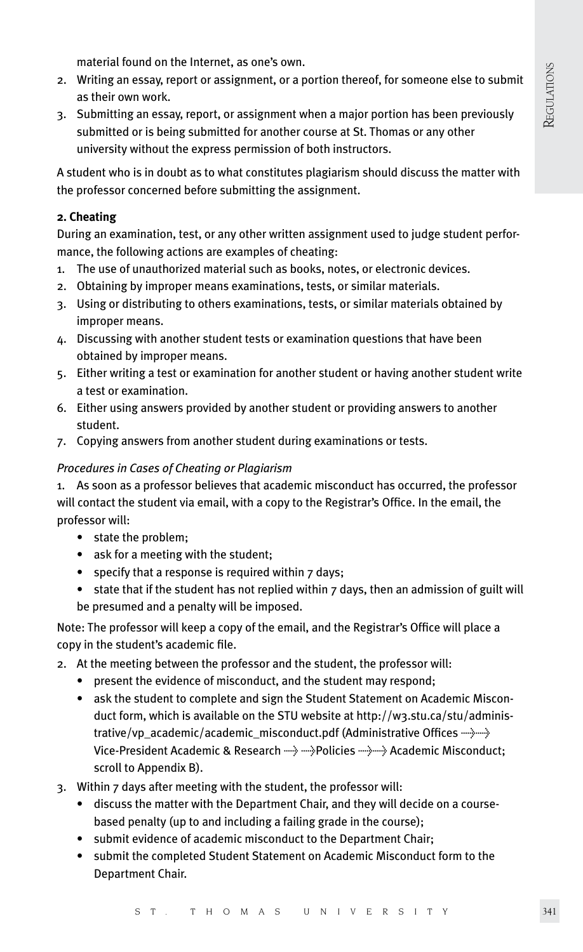material found on the Internet, as one's own.

- 2. Writing an essay, report or assignment, or a portion thereof, for someone else to submit as their own work.
- 3. Submitting an essay, report, or assignment when a major portion has been previously submitted or is being submitted for another course at St. Thomas or any other university without the express permission of both instructors.

A student who is in doubt as to what constitutes plagiarism should discuss the matter with the professor concerned before submitting the assignment.

## **2. Cheating**

During an examination, test, or any other written assignment used to judge student performance, the following actions are examples of cheating:

- 1. The use of unauthorized material such as books, notes, or electronic devices.
- 2. Obtaining by improper means examinations, tests, or similar materials.
- 3. Using or distributing to others examinations, tests, or similar materials obtained by improper means.
- 4. Discussing with another student tests or examination questions that have been obtained by improper means.
- 5. Either writing a test or examination for another student or having another student write a test or examination.
- 6. Either using answers provided by another student or providing answers to another student.
- 7. Copying answers from another student during examinations or tests.

#### *Procedures in Cases of Cheating or Plagiarism*

1. As soon as a professor believes that academic misconduct has occurred, the professor will contact the student via email, with a copy to the Registrar's Office. In the email, the professor will:

- state the problem;
- ask for a meeting with the student;
- specify that a response is required within 7 days;
- state that if the student has not replied within 7 days, then an admission of guilt will be presumed and a penalty will be imposed.

Note: The professor will keep a copy of the email, and the Registrar's Office will place a copy in the student's academic file.

- 2. At the meeting between the professor and the student, the professor will:
	- present the evidence of misconduct, and the student may respond;
	- ask the student to complete and sign the Student Statement on Academic Miscon duct form, which is available on the STU website at http://w3.stu.ca/stu/adminis trative/vp\_academic/academic\_misconduct.pdf (Administrative Offices  $\rightarrow$ Vice-President Academic & Research ------> -----> Policies -----> Academic Misconduct; scroll to Appendix B).
- 3. Within 7 days after meeting with the student, the professor will:
	- discuss the matter with the Department Chair, and they will decide on a course based penalty (up to and including a failing grade in the course);
	- submit evidence of academic misconduct to the Department Chair;
	- submit the completed Student Statement on Academic Misconduct form to the Department Chair.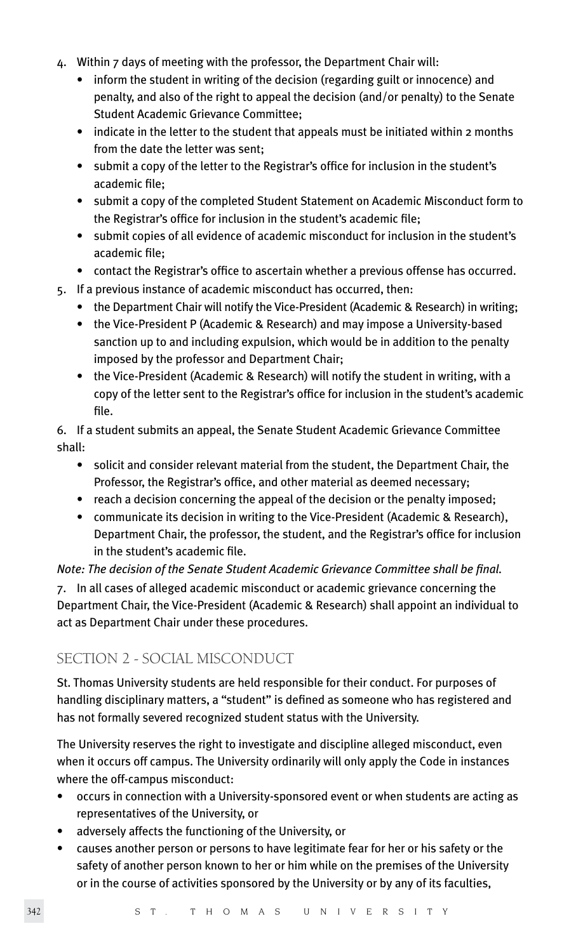- 4. Within 7 days of meeting with the professor, the Department Chair will:
	- inform the student in writing of the decision (regarding guilt or innocence) and penalty, and also of the right to appeal the decision (and/or penalty) to the Senate Student Academic Grievance Committee;
	- indicate in the letter to the student that appeals must be initiated within 2 months from the date the letter was sent;
	- submit a copy of the letter to the Registrar's office for inclusion in the student's academic file;
	- submit a copy of the completed Student Statement on Academic Misconduct form to the Registrar's office for inclusion in the student's academic file;
	- submit copies of all evidence of academic misconduct for inclusion in the student's academic file;
	- contact the Registrar's office to ascertain whether a previous offense has occurred.
- 5. If a previous instance of academic misconduct has occurred, then:
	- the Department Chair will notify the Vice-President (Academic & Research) in writing;
	- the Vice-President P (Academic & Research) and may impose a University-based sanction up to and including expulsion, which would be in addition to the penalty imposed by the professor and Department Chair;
	- the Vice-President (Academic & Research) will notify the student in writing, with a copy of the letter sent to the Registrar's office for inclusion in the student's academic file.

6. If a student submits an appeal, the Senate Student Academic Grievance Committee shall:

- solicit and consider relevant material from the student, the Department Chair, the Professor, the Registrar's office, and other material as deemed necessary;
- reach a decision concerning the appeal of the decision or the penalty imposed;
- communicate its decision in writing to the Vice-President (Academic & Research), Department Chair, the professor, the student, and the Registrar's office for inclusion in the student's academic file.

*Note: The decision of the Senate Student Academic Grievance Committee shall be final.*

7. In all cases of alleged academic misconduct or academic grievance concerning the Department Chair, the Vice-President (Academic & Research) shall appoint an individual to act as Department Chair under these procedures.

## SECTION 2 - SOCIAL MISCONDUCT

St. Thomas University students are held responsible for their conduct. For purposes of handling disciplinary matters, a "student" is defined as someone who has registered and has not formally severed recognized student status with the University.

The University reserves the right to investigate and discipline alleged misconduct, even when it occurs off campus. The University ordinarily will only apply the Code in instances where the off-campus misconduct:

- occurs in connection with a University-sponsored event or when students are acting as representatives of the University, or
- adversely affects the functioning of the University, or
- causes another person or persons to have legitimate fear for her or his safety or the safety of another person known to her or him while on the premises of the University or in the course of activities sponsored by the University or by any of its faculties,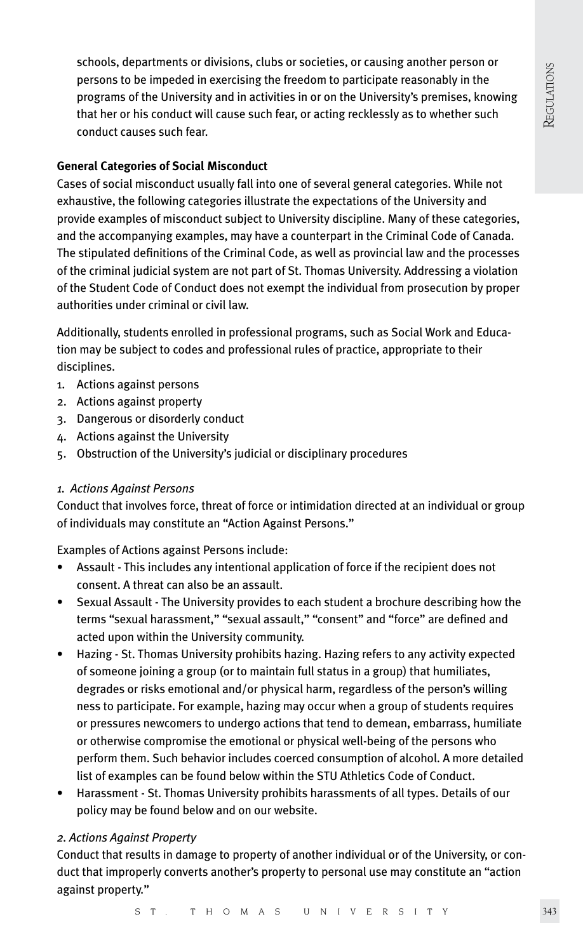schools, departments or divisions, clubs or societies, or causing another person or persons to be impeded in exercising the freedom to participate reasonably in the programs of the University and in activities in or on the University's premises, knowing that her or his conduct will cause such fear, or acting recklessly as to whether such conduct causes such fear.

#### **General Categories of Social Misconduct**

Cases of social misconduct usually fall into one of several general categories. While not exhaustive, the following categories illustrate the expectations of the University and provide examples of misconduct subject to University discipline. Many of these categories, and the accompanying examples, may have a counterpart in the Criminal Code of Canada. The stipulated definitions of the Criminal Code, as well as provincial law and the processes of the criminal judicial system are not part of St. Thomas University. Addressing a violation of the Student Code of Conduct does not exempt the individual from prosecution by proper authorities under criminal or civil law.

Additionally, students enrolled in professional programs, such as Social Work and Education may be subject to codes and professional rules of practice, appropriate to their disciplines.

- 1. Actions against persons
- 2. Actions against property
- 3. Dangerous or disorderly conduct
- 4. Actions against the University
- 5. Obstruction of the University's judicial or disciplinary procedures

#### *1. Actions Against Persons*

Conduct that involves force, threat of force or intimidation directed at an individual or group of individuals may constitute an "Action Against Persons."

Examples of Actions against Persons include:

- Assault This includes any intentional application of force if the recipient does not consent. A threat can also be an assault.
- Sexual Assault The University provides to each student a brochure describing how the terms "sexual harassment," "sexual assault," "consent" and "force" are defined and acted upon within the University community.
- Hazing St. Thomas University prohibits hazing. Hazing refers to any activity expected of someone joining a group (or to maintain full status in a group) that humiliates, degrades or risks emotional and/or physical harm, regardless of the person's willing ness to participate. For example, hazing may occur when a group of students requires or pressures newcomers to undergo actions that tend to demean, embarrass, humiliate or otherwise compromise the emotional or physical well-being of the persons who perform them. Such behavior includes coerced consumption of alcohol. A more detailed list of examples can be found below within the STU Athletics Code of Conduct.
- Harassment St. Thomas University prohibits harassments of all types. Details of our policy may be found below and on our website.

#### *2. Actions Against Property*

Conduct that results in damage to property of another individual or of the University, or conduct that improperly converts another's property to personal use may constitute an "action against property."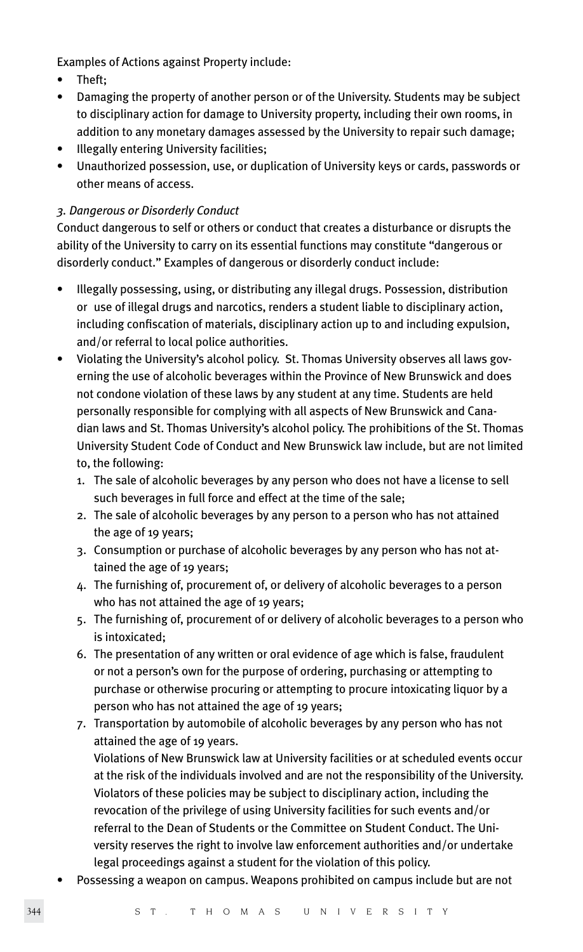Examples of Actions against Property include:

- Theft;
- Damaging the property of another person or of the University. Students may be subject to disciplinary action for damage to University property, including their own rooms, in addition to any monetary damages assessed by the University to repair such damage;
- Illegally entering University facilities;
- Unauthorized possession, use, or duplication of University keys or cards, passwords or other means of access.

## *3. Dangerous or Disorderly Conduct*

Conduct dangerous to self or others or conduct that creates a disturbance or disrupts the ability of the University to carry on its essential functions may constitute "dangerous or disorderly conduct." Examples of dangerous or disorderly conduct include:

- Illegally possessing, using, or distributing any illegal drugs. Possession, distribution or use of illegal drugs and narcotics, renders a student liable to disciplinary action, including confiscation of materials, disciplinary action up to and including expulsion, and/or referral to local police authorities.
- Violating the University's alcohol policy. St. Thomas University observes all laws governing the use of alcoholic beverages within the Province of New Brunswick and does not condone violation of these laws by any student at any time. Students are held personally responsible for complying with all aspects of New Brunswick and Canadian laws and St. Thomas University's alcohol policy. The prohibitions of the St. Thomas University Student Code of Conduct and New Brunswick law include, but are not limited to, the following:
	- 1. The sale of alcoholic beverages by any person who does not have a license to sell such beverages in full force and effect at the time of the sale;
	- 2. The sale of alcoholic beverages by any person to a person who has not attained the age of 19 years;
	- 3. Consumption or purchase of alcoholic beverages by any person who has not at tained the age of 19 years;
	- 4. The furnishing of, procurement of, or delivery of alcoholic beverages to a person who has not attained the age of 19 years;
	- 5. The furnishing of, procurement of or delivery of alcoholic beverages to a person who is intoxicated;
	- 6. The presentation of any written or oral evidence of age which is false, fraudulent or not a person's own for the purpose of ordering, purchasing or attempting to purchase or otherwise procuring or attempting to procure intoxicating liquor by a person who has not attained the age of 19 years;
	- 7. Transportation by automobile of alcoholic beverages by any person who has not attained the age of 19 years.

 Violations of New Brunswick law at University facilities or at scheduled events occur at the risk of the individuals involved and are not the responsibility of the University. Violators of these policies may be subject to disciplinary action, including the revocation of the privilege of using University facilities for such events and/or referral to the Dean of Students or the Committee on Student Conduct. The Uni versity reserves the right to involve law enforcement authorities and/or undertake legal proceedings against a student for the violation of this policy.

• Possessing a weapon on campus. Weapons prohibited on campus include but are not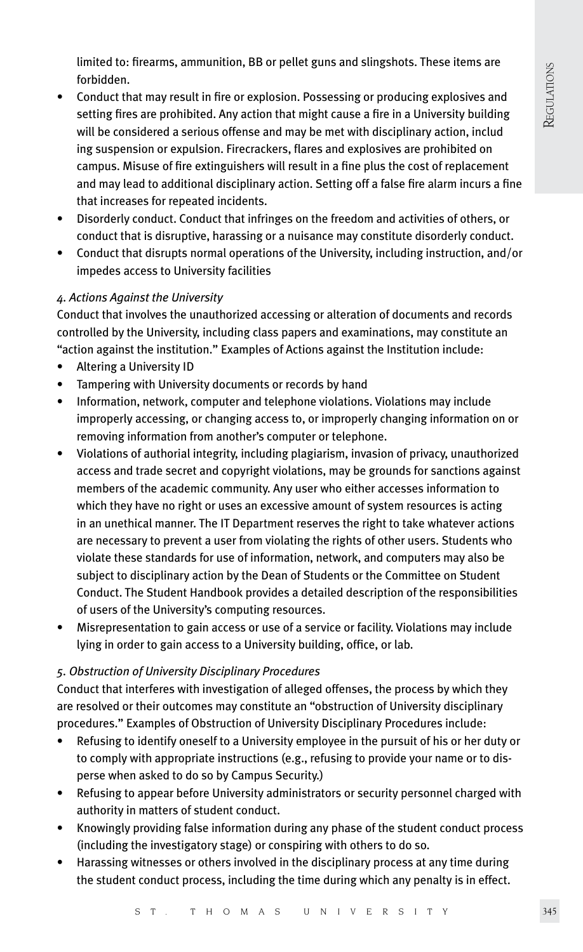limited to: firearms, ammunition, BB or pellet guns and slingshots. These items are forbidden.

- Conduct that may result in fire or explosion. Possessing or producing explosives and setting fires are prohibited. Any action that might cause a fire in a University building will be considered a serious offense and may be met with disciplinary action, includ ing suspension or expulsion. Firecrackers, flares and explosives are prohibited on campus. Misuse of fire extinguishers will result in a fine plus the cost of replacement and may lead to additional disciplinary action. Setting off a false fire alarm incurs a fine that increases for repeated incidents.
- Disorderly conduct. Conduct that infringes on the freedom and activities of others, or conduct that is disruptive, harassing or a nuisance may constitute disorderly conduct.
- Conduct that disrupts normal operations of the University, including instruction, and/or impedes access to University facilities

## *4. Actions Against the University*

Conduct that involves the unauthorized accessing or alteration of documents and records controlled by the University, including class papers and examinations, may constitute an "action against the institution." Examples of Actions against the Institution include:

- Altering a University ID
- Tampering with University documents or records by hand
- Information, network, computer and telephone violations. Violations may include improperly accessing, or changing access to, or improperly changing information on or removing information from another's computer or telephone.
- Violations of authorial integrity, including plagiarism, invasion of privacy, unauthorized access and trade secret and copyright violations, may be grounds for sanctions against members of the academic community. Any user who either accesses information to which they have no right or uses an excessive amount of system resources is acting in an unethical manner. The IT Department reserves the right to take whatever actions are necessary to prevent a user from violating the rights of other users. Students who violate these standards for use of information, network, and computers may also be subject to disciplinary action by the Dean of Students or the Committee on Student Conduct. The Student Handbook provides a detailed description of the responsibilities of users of the University's computing resources.
- Misrepresentation to gain access or use of a service or facility. Violations may include lying in order to gain access to a University building, office, or lab.

## *5. Obstruction of University Disciplinary Procedures*

Conduct that interferes with investigation of alleged offenses, the process by which they are resolved or their outcomes may constitute an "obstruction of University disciplinary procedures." Examples of Obstruction of University Disciplinary Procedures include:

- Refusing to identify oneself to a University employee in the pursuit of his or her duty or to comply with appropriate instructions (e.g., refusing to provide your name or to disperse when asked to do so by Campus Security.)
- Refusing to appear before University administrators or security personnel charged with authority in matters of student conduct.
- Knowingly providing false information during any phase of the student conduct process (including the investigatory stage) or conspiring with others to do so.
- Harassing witnesses or others involved in the disciplinary process at any time during the student conduct process, including the time during which any penalty is in effect.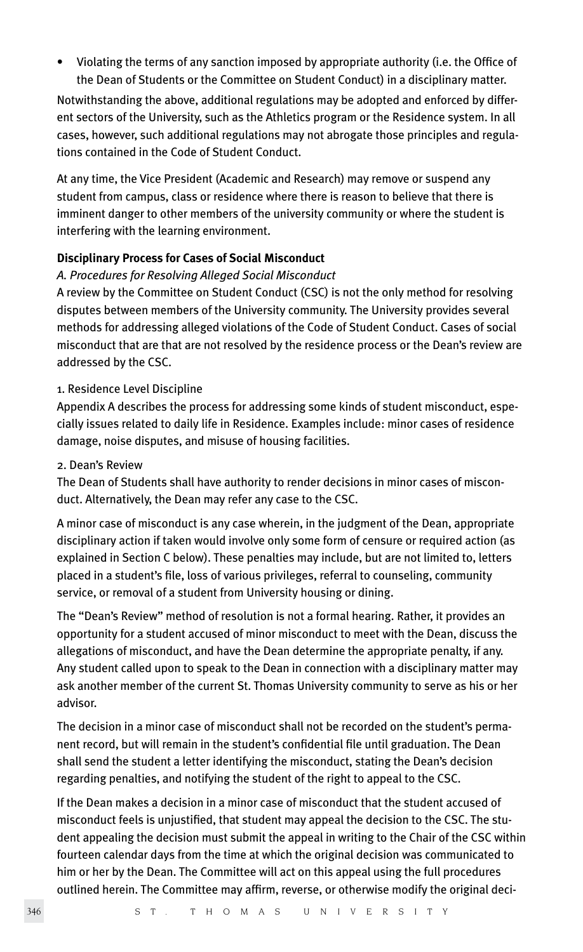• Violating the terms of any sanction imposed by appropriate authority (i.e. the Office of the Dean of Students or the Committee on Student Conduct) in a disciplinary matter.

Notwithstanding the above, additional regulations may be adopted and enforced by different sectors of the University, such as the Athletics program or the Residence system. In all cases, however, such additional regulations may not abrogate those principles and regulations contained in the Code of Student Conduct.

At any time, the Vice President (Academic and Research) may remove or suspend any student from campus, class or residence where there is reason to believe that there is imminent danger to other members of the university community or where the student is interfering with the learning environment.

#### **Disciplinary Process for Cases of Social Misconduct**

#### *A. Procedures for Resolving Alleged Social Misconduct*

A review by the Committee on Student Conduct (CSC) is not the only method for resolving disputes between members of the University community. The University provides several methods for addressing alleged violations of the Code of Student Conduct. Cases of social misconduct that are that are not resolved by the residence process or the Dean's review are addressed by the CSC.

#### 1. Residence Level Discipline

Appendix A describes the process for addressing some kinds of student misconduct, especially issues related to daily life in Residence. Examples include: minor cases of residence damage, noise disputes, and misuse of housing facilities.

#### 2. Dean's Review

The Dean of Students shall have authority to render decisions in minor cases of misconduct. Alternatively, the Dean may refer any case to the CSC.

A minor case of misconduct is any case wherein, in the judgment of the Dean, appropriate disciplinary action if taken would involve only some form of censure or required action (as explained in Section C below). These penalties may include, but are not limited to, letters placed in a student's file, loss of various privileges, referral to counseling, community service, or removal of a student from University housing or dining.

The "Dean's Review" method of resolution is not a formal hearing. Rather, it provides an opportunity for a student accused of minor misconduct to meet with the Dean, discuss the allegations of misconduct, and have the Dean determine the appropriate penalty, if any. Any student called upon to speak to the Dean in connection with a disciplinary matter may ask another member of the current St. Thomas University community to serve as his or her advisor.

The decision in a minor case of misconduct shall not be recorded on the student's permanent record, but will remain in the student's confidential file until graduation. The Dean shall send the student a letter identifying the misconduct, stating the Dean's decision regarding penalties, and notifying the student of the right to appeal to the CSC.

If the Dean makes a decision in a minor case of misconduct that the student accused of misconduct feels is unjustified, that student may appeal the decision to the CSC. The student appealing the decision must submit the appeal in writing to the Chair of the CSC within fourteen calendar days from the time at which the original decision was communicated to him or her by the Dean. The Committee will act on this appeal using the full procedures outlined herein. The Committee may affirm, reverse, or otherwise modify the original deci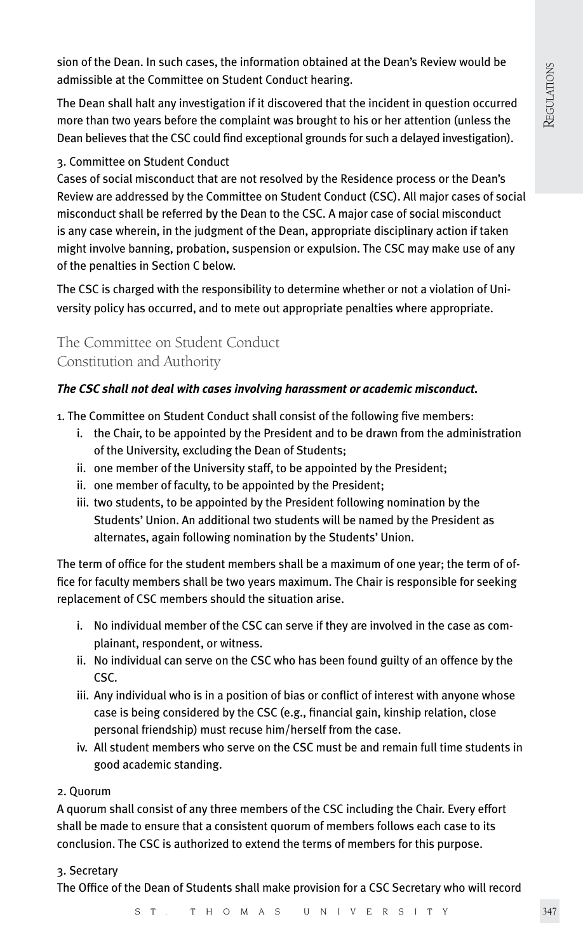sion of the Dean. In such cases, the information obtained at the Dean's Review would be admissible at the Committee on Student Conduct hearing.

The Dean shall halt any investigation if it discovered that the incident in question occurred more than two years before the complaint was brought to his or her attention (unless the Dean believes that the CSC could find exceptional grounds for such a delayed investigation).

## 3. Committee on Student Conduct

Cases of social misconduct that are not resolved by the Residence process or the Dean's Review are addressed by the Committee on Student Conduct (CSC). All major cases of social misconduct shall be referred by the Dean to the CSC. A major case of social misconduct is any case wherein, in the judgment of the Dean, appropriate disciplinary action if taken might involve banning, probation, suspension or expulsion. The CSC may make use of any of the penalties in Section C below.

The CSC is charged with the responsibility to determine whether or not a violation of University policy has occurred, and to mete out appropriate penalties where appropriate.

The Committee on Student Conduct Constitution and Authority

## *The CSC shall not deal with cases involving harassment or academic misconduct.*

1. The Committee on Student Conduct shall consist of the following five members:

- i. the Chair, to be appointed by the President and to be drawn from the administration of the University, excluding the Dean of Students;
- ii. one member of the University staff, to be appointed by the President;
- ii. one member of faculty, to be appointed by the President;
- iii. two students, to be appointed by the President following nomination by the Students' Union. An additional two students will be named by the President as alternates, again following nomination by the Students' Union.

The term of office for the student members shall be a maximum of one year; the term of office for faculty members shall be two years maximum. The Chair is responsible for seeking replacement of CSC members should the situation arise.

- i. No individual member of the CSC can serve if they are involved in the case as com plainant, respondent, or witness.
- ii. No individual can serve on the CSC who has been found guilty of an offence by the CSC.
- iii. Any individual who is in a position of bias or conflict of interest with anyone whose case is being considered by the CSC (e.g., financial gain, kinship relation, close personal friendship) must recuse him/herself from the case.
- iv. All student members who serve on the CSC must be and remain full time students in good academic standing.

## 2. Quorum

A quorum shall consist of any three members of the CSC including the Chair. Every effort shall be made to ensure that a consistent quorum of members follows each case to its conclusion. The CSC is authorized to extend the terms of members for this purpose.

## 3. Secretary

The Office of the Dean of Students shall make provision for a CSC Secretary who will record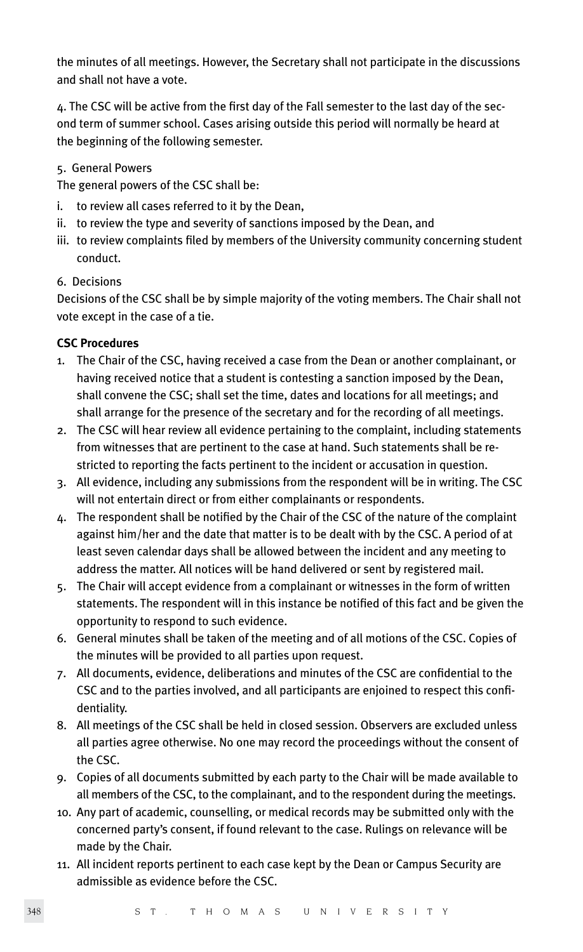the minutes of all meetings. However, the Secretary shall not participate in the discussions and shall not have a vote.

4. The CSC will be active from the first day of the Fall semester to the last day of the second term of summer school. Cases arising outside this period will normally be heard at the beginning of the following semester.

5. General Powers

The general powers of the CSC shall be:

- i. to review all cases referred to it by the Dean,
- ii. to review the type and severity of sanctions imposed by the Dean, and
- iii. to review complaints filed by members of the University community concerning student conduct.
- 6. Decisions

Decisions of the CSC shall be by simple majority of the voting members. The Chair shall not vote except in the case of a tie.

#### **CSC Procedures**

- 1. The Chair of the CSC, having received a case from the Dean or another complainant, or having received notice that a student is contesting a sanction imposed by the Dean, shall convene the CSC; shall set the time, dates and locations for all meetings; and shall arrange for the presence of the secretary and for the recording of all meetings.
- 2. The CSC will hear review all evidence pertaining to the complaint, including statements from witnesses that are pertinent to the case at hand. Such statements shall be restricted to reporting the facts pertinent to the incident or accusation in question.
- 3. All evidence, including any submissions from the respondent will be in writing. The CSC will not entertain direct or from either complainants or respondents.
- 4. The respondent shall be notified by the Chair of the CSC of the nature of the complaint against him/her and the date that matter is to be dealt with by the CSC. A period of at least seven calendar days shall be allowed between the incident and any meeting to address the matter. All notices will be hand delivered or sent by registered mail.
- 5. The Chair will accept evidence from a complainant or witnesses in the form of written statements. The respondent will in this instance be notified of this fact and be given the opportunity to respond to such evidence.
- 6. General minutes shall be taken of the meeting and of all motions of the CSC. Copies of the minutes will be provided to all parties upon request.
- 7. All documents, evidence, deliberations and minutes of the CSC are confidential to the CSC and to the parties involved, and all participants are enjoined to respect this confidentiality.
- 8. All meetings of the CSC shall be held in closed session. Observers are excluded unless all parties agree otherwise. No one may record the proceedings without the consent of the CSC.
- 9. Copies of all documents submitted by each party to the Chair will be made available to all members of the CSC, to the complainant, and to the respondent during the meetings.
- 10. Any part of academic, counselling, or medical records may be submitted only with the concerned party's consent, if found relevant to the case. Rulings on relevance will be made by the Chair.
- 11. All incident reports pertinent to each case kept by the Dean or Campus Security are admissible as evidence before the CSC.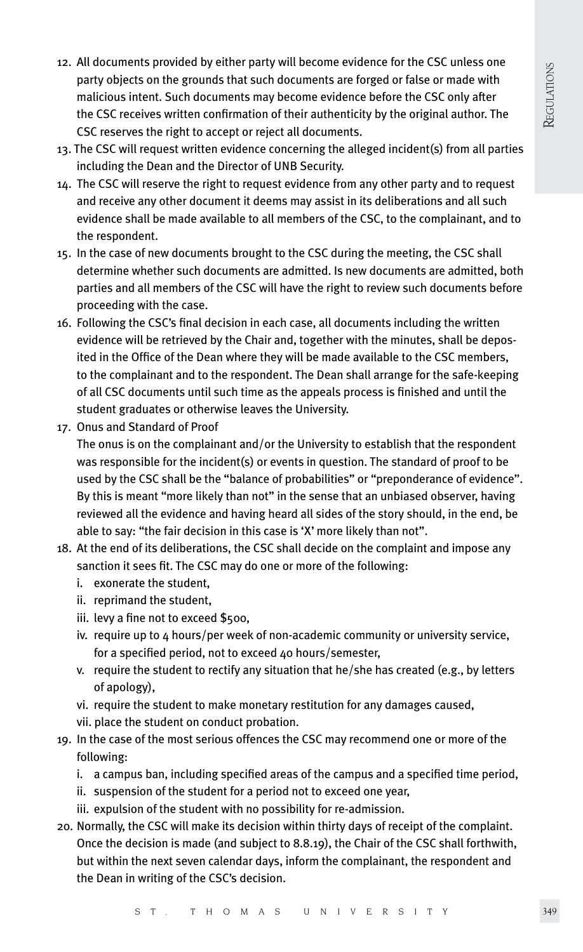- 12. All documents provided by either party will become evidence for the CSC unless one party objects on the grounds that such documents are forged or false or made with malicious intent. Such documents may become evidence before the CSC only after the CSC receives written confirmation of their authenticity by the original author. The CSC reserves the right to accept or reject all documents.
- 13. The CSC will request written evidence concerning the alleged incident(s) from all parties including the Dean and the Director of UNB Security.
- 14. The CSC will reserve the right to request evidence from any other party and to request and receive any other document it deems may assist in its deliberations and all such evidence shall be made available to all members of the CSC, to the complainant, and to the respondent.
- 15. In the case of new documents brought to the CSC during the meeting, the CSC shall determine whether such documents are admitted. Is new documents are admitted, both parties and all members of the CSC will have the right to review such documents before proceeding with the case.
- 16. Following the CSC's final decision in each case, all documents including the written evidence will be retrieved by the Chair and, together with the minutes, shall be deposited in the Office of the Dean where they will be made available to the CSC members, to the complainant and to the respondent. The Dean shall arrange for the safe-keeping of all CSC documents until such time as the appeals process is finished and until the student graduates or otherwise leaves the University.
- 17. Onus and Standard of Proof

The onus is on the complainant and/or the University to establish that the respondent was responsible for the incident(s) or events in question. The standard of proof to be used by the CSC shall be the "balance of probabilities" or "preponderance of evidence". By this is meant "more likely than not" in the sense that an unbiased observer, having reviewed all the evidence and having heard all sides of the story should, in the end, be able to say: "the fair decision in this case is 'X' more likely than not".

- 18. At the end of its deliberations, the CSC shall decide on the complaint and impose any sanction it sees fit. The CSC may do one or more of the following:
	- i. exonerate the student,
	- ii. reprimand the student,
	- iii. levy a fine not to exceed \$500,
	- iv. require up to 4 hours/per week of non-academic community or university service, for a specified period, not to exceed 40 hours/semester,
	- v. require the student to rectify any situation that he/she has created (e.g., by letters of apology),
	- vi. require the student to make monetary restitution for any damages caused,
	- vii. place the student on conduct probation.
- 19. In the case of the most serious offences the CSC may recommend one or more of the following:
	- i. a campus ban, including specified areas of the campus and a specified time period,
	- ii. suspension of the student for a period not to exceed one year,
	- iii. expulsion of the student with no possibility for re-admission.
- 20. Normally, the CSC will make its decision within thirty days of receipt of the complaint. Once the decision is made (and subject to 8.8.19), the Chair of the CSC shall forthwith, but within the next seven calendar days, inform the complainant, the respondent and the Dean in writing of the CSC's decision.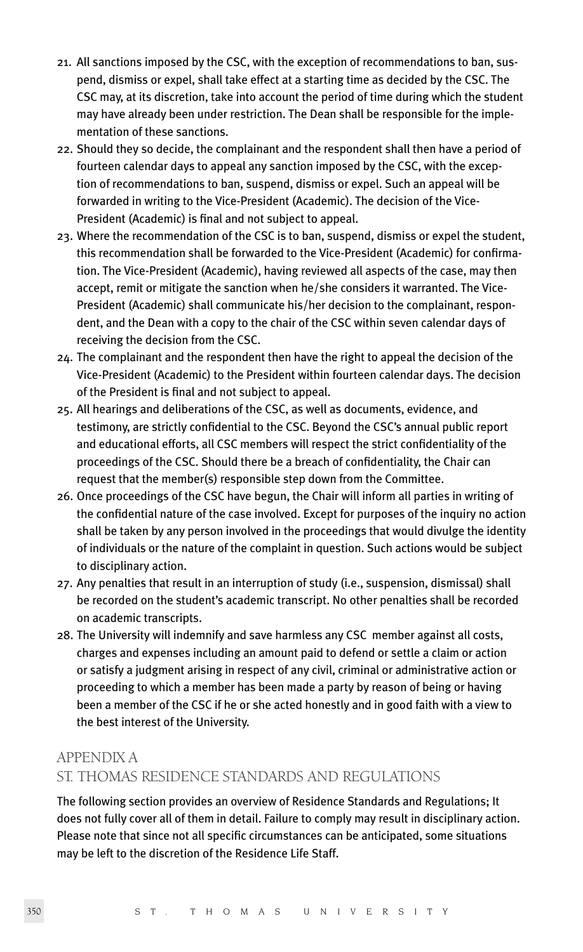- 21. All sanctions imposed by the CSC, with the exception of recommendations to ban, suspend, dismiss or expel, shall take effect at a starting time as decided by the CSC. The CSC may, at its discretion, take into account the period of time during which the student may have already been under restriction. The Dean shall be responsible for the implementation of these sanctions.
- 22. Should they so decide, the complainant and the respondent shall then have a period of fourteen calendar days to appeal any sanction imposed by the CSC, with the exception of recommendations to ban, suspend, dismiss or expel. Such an appeal will be forwarded in writing to the Vice-President (Academic). The decision of the Vice-President (Academic) is final and not subject to appeal.
- 23. Where the recommendation of the CSC is to ban, suspend, dismiss or expel the student, this recommendation shall be forwarded to the Vice-President (Academic) for confirmation. The Vice-President (Academic), having reviewed all aspects of the case, may then accept, remit or mitigate the sanction when he/she considers it warranted. The Vice-President (Academic) shall communicate his/her decision to the complainant, respondent, and the Dean with a copy to the chair of the CSC within seven calendar days of receiving the decision from the CSC.
- 24. The complainant and the respondent then have the right to appeal the decision of the Vice-President (Academic) to the President within fourteen calendar days. The decision of the President is final and not subject to appeal.
- 25. All hearings and deliberations of the CSC, as well as documents, evidence, and testimony, are strictly confidential to the CSC. Beyond the CSC's annual public report and educational efforts, all CSC members will respect the strict confidentiality of the proceedings of the CSC. Should there be a breach of confidentiality, the Chair can request that the member(s) responsible step down from the Committee.
- 26. Once proceedings of the CSC have begun, the Chair will inform all parties in writing of the confidential nature of the case involved. Except for purposes of the inquiry no action shall be taken by any person involved in the proceedings that would divulge the identity of individuals or the nature of the complaint in question. Such actions would be subject to disciplinary action.
- 27. Any penalties that result in an interruption of study (i.e., suspension, dismissal) shall be recorded on the student's academic transcript. No other penalties shall be recorded on academic transcripts.
- 28. The University will indemnify and save harmless any CSC member against all costs, charges and expenses including an amount paid to defend or settle a claim or action or satisfy a judgment arising in respect of any civil, criminal or administrative action or proceeding to which a member has been made a party by reason of being or having been a member of the CSC if he or she acted honestly and in good faith with a view to the best interest of the University.

## APPENDIX A ST. THOMAS RESIDENCE STANDARDS AND REGULATIONS

The following section provides an overview of Residence Standards and Regulations; It does not fully cover all of them in detail. Failure to comply may result in disciplinary action. Please note that since not all specific circumstances can be anticipated, some situations may be left to the discretion of the Residence Life Staff.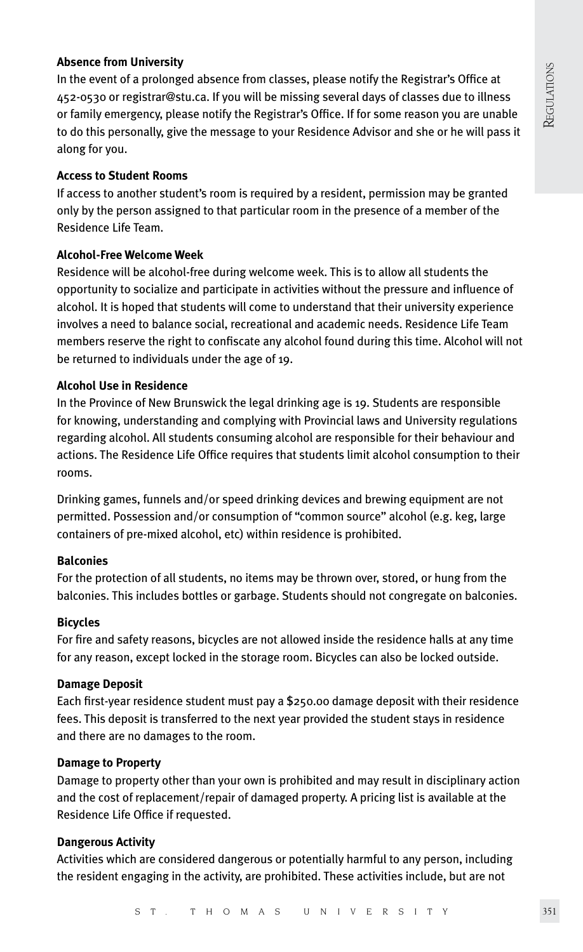#### **Absence from University**

In the event of a prolonged absence from classes, please notify the Registrar's Office at 452-0530 or registrar@stu.ca. If you will be missing several days of classes due to illness or family emergency, please notify the Registrar's Office. If for some reason you are unable to do this personally, give the message to your Residence Advisor and she or he will pass it along for you.

#### **Access to Student Rooms**

If access to another student's room is required by a resident, permission may be granted only by the person assigned to that particular room in the presence of a member of the Residence Life Team.

#### **Alcohol-Free Welcome Week**

Residence will be alcohol-free during welcome week. This is to allow all students the opportunity to socialize and participate in activities without the pressure and influence of alcohol. It is hoped that students will come to understand that their university experience involves a need to balance social, recreational and academic needs. Residence Life Team members reserve the right to confiscate any alcohol found during this time. Alcohol will not be returned to individuals under the age of 19.

#### **Alcohol Use in Residence**

In the Province of New Brunswick the legal drinking age is 19. Students are responsible for knowing, understanding and complying with Provincial laws and University regulations regarding alcohol. All students consuming alcohol are responsible for their behaviour and actions. The Residence Life Office requires that students limit alcohol consumption to their rooms.

Drinking games, funnels and/or speed drinking devices and brewing equipment are not permitted. Possession and/or consumption of "common source" alcohol (e.g. keg, large containers of pre-mixed alcohol, etc) within residence is prohibited.

#### **Balconies**

For the protection of all students, no items may be thrown over, stored, or hung from the balconies. This includes bottles or garbage. Students should not congregate on balconies.

#### **Bicycles**

For fire and safety reasons, bicycles are not allowed inside the residence halls at any time for any reason, except locked in the storage room. Bicycles can also be locked outside.

#### **Damage Deposit**

Each first-year residence student must pay a \$250.00 damage deposit with their residence fees. This deposit is transferred to the next year provided the student stays in residence and there are no damages to the room.

#### **Damage to Property**

Damage to property other than your own is prohibited and may result in disciplinary action and the cost of replacement/repair of damaged property. A pricing list is available at the Residence Life Office if requested.

#### **Dangerous Activity**

Activities which are considered dangerous or potentially harmful to any person, including the resident engaging in the activity, are prohibited. These activities include, but are not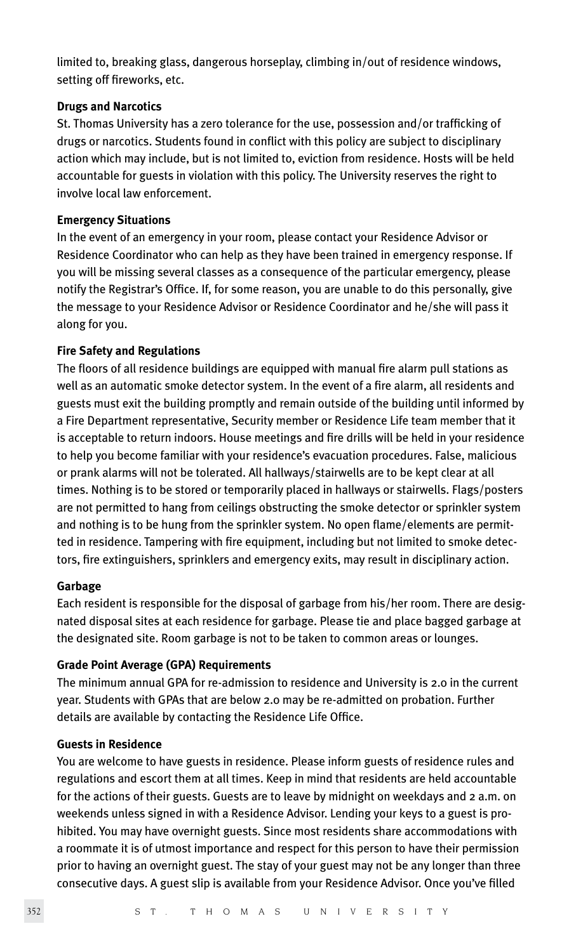limited to, breaking glass, dangerous horseplay, climbing in/out of residence windows, setting off fireworks, etc.

#### **Drugs and Narcotics**

St. Thomas University has a zero tolerance for the use, possession and/or trafficking of drugs or narcotics. Students found in conflict with this policy are subject to disciplinary action which may include, but is not limited to, eviction from residence. Hosts will be held accountable for guests in violation with this policy. The University reserves the right to involve local law enforcement.

#### **Emergency Situations**

In the event of an emergency in your room, please contact your Residence Advisor or Residence Coordinator who can help as they have been trained in emergency response. If you will be missing several classes as a consequence of the particular emergency, please notify the Registrar's Office. If, for some reason, you are unable to do this personally, give the message to your Residence Advisor or Residence Coordinator and he/she will pass it along for you.

## **Fire Safety and Regulations**

The floors of all residence buildings are equipped with manual fire alarm pull stations as well as an automatic smoke detector system. In the event of a fire alarm, all residents and guests must exit the building promptly and remain outside of the building until informed by a Fire Department representative, Security member or Residence Life team member that it is acceptable to return indoors. House meetings and fire drills will be held in your residence to help you become familiar with your residence's evacuation procedures. False, malicious or prank alarms will not be tolerated. All hallways/stairwells are to be kept clear at all times. Nothing is to be stored or temporarily placed in hallways or stairwells. Flags/posters are not permitted to hang from ceilings obstructing the smoke detector or sprinkler system and nothing is to be hung from the sprinkler system. No open flame/elements are permitted in residence. Tampering with fire equipment, including but not limited to smoke detectors, fire extinguishers, sprinklers and emergency exits, may result in disciplinary action.

#### **Garbage**

Each resident is responsible for the disposal of garbage from his/her room. There are designated disposal sites at each residence for garbage. Please tie and place bagged garbage at the designated site. Room garbage is not to be taken to common areas or lounges.

#### **Grade Point Average (GPA) Requirements**

The minimum annual GPA for re-admission to residence and University is 2.0 in the current year. Students with GPAs that are below 2.0 may be re-admitted on probation. Further details are available by contacting the Residence Life Office.

#### **Guests in Residence**

You are welcome to have guests in residence. Please inform guests of residence rules and regulations and escort them at all times. Keep in mind that residents are held accountable for the actions of their guests. Guests are to leave by midnight on weekdays and 2 a.m. on weekends unless signed in with a Residence Advisor. Lending your keys to a guest is prohibited. You may have overnight guests. Since most residents share accommodations with a roommate it is of utmost importance and respect for this person to have their permission prior to having an overnight guest. The stay of your guest may not be any longer than three consecutive days. A guest slip is available from your Residence Advisor. Once you've filled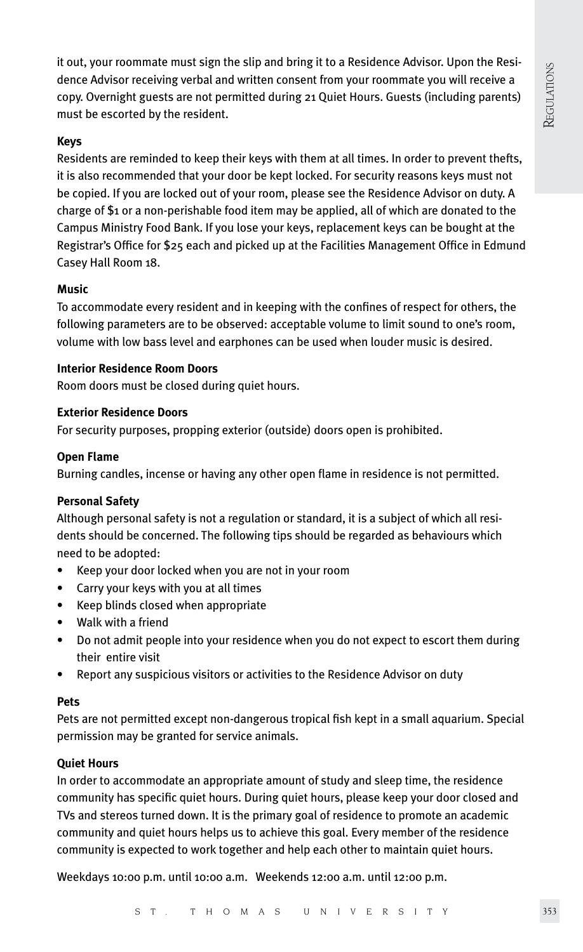it out, your roommate must sign the slip and bring it to a Residence Advisor. Upon the Residence Advisor receiving verbal and written consent from your roommate you will receive a copy. Overnight guests are not permitted during 21 Quiet Hours. Guests (including parents) must be escorted by the resident.

## **Keys**

Residents are reminded to keep their keys with them at all times. In order to prevent thefts, it is also recommended that your door be kept locked. For security reasons keys must not be copied. If you are locked out of your room, please see the Residence Advisor on duty. A charge of \$1 or a non-perishable food item may be applied, all of which are donated to the Campus Ministry Food Bank. If you lose your keys, replacement keys can be bought at the Registrar's Office for \$25 each and picked up at the Facilities Management Office in Edmund Casey Hall Room 18.

## **Music**

To accommodate every resident and in keeping with the confines of respect for others, the following parameters are to be observed: acceptable volume to limit sound to one's room, volume with low bass level and earphones can be used when louder music is desired.

## **Interior Residence Room Doors**

Room doors must be closed during quiet hours.

## **Exterior Residence Doors**

For security purposes, propping exterior (outside) doors open is prohibited.

#### **Open Flame**

Burning candles, incense or having any other open flame in residence is not permitted.

## **Personal Safety**

Although personal safety is not a regulation or standard, it is a subject of which all residents should be concerned. The following tips should be regarded as behaviours which need to be adopted:

- Keep your door locked when you are not in your room
- Carry your keys with you at all times
- Keep blinds closed when appropriate
- Walk with a friend
- Do not admit people into your residence when you do not expect to escort them during their entire visit
- Report any suspicious visitors or activities to the Residence Advisor on duty

#### **Pets**

Pets are not permitted except non-dangerous tropical fish kept in a small aquarium. Special permission may be granted for service animals.

## **Quiet Hours**

In order to accommodate an appropriate amount of study and sleep time, the residence community has specific quiet hours. During quiet hours, please keep your door closed and TVs and stereos turned down. It is the primary goal of residence to promote an academic community and quiet hours helps us to achieve this goal. Every member of the residence community is expected to work together and help each other to maintain quiet hours.

Weekdays 10:00 p.m. until 10:00 a.m. Weekends 12:00 a.m. until 12:00 p.m.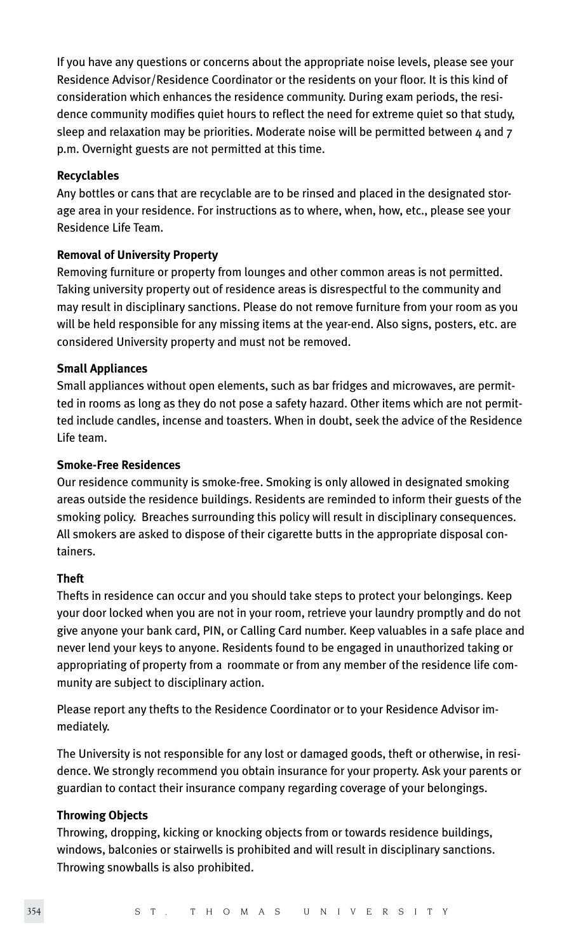If you have any questions or concerns about the appropriate noise levels, please see your Residence Advisor/Residence Coordinator or the residents on your floor. It is this kind of consideration which enhances the residence community. During exam periods, the residence community modifies quiet hours to reflect the need for extreme quiet so that study, sleep and relaxation may be priorities. Moderate noise will be permitted between  $4$  and  $7$ p.m. Overnight guests are not permitted at this time.

#### **Recyclables**

Any bottles or cans that are recyclable are to be rinsed and placed in the designated storage area in your residence. For instructions as to where, when, how, etc., please see your Residence Life Team.

#### **Removal of University Property**

Removing furniture or property from lounges and other common areas is not permitted. Taking university property out of residence areas is disrespectful to the community and may result in disciplinary sanctions. Please do not remove furniture from your room as you will be held responsible for any missing items at the year-end. Also signs, posters, etc. are considered University property and must not be removed.

#### **Small Appliances**

Small appliances without open elements, such as bar fridges and microwaves, are permitted in rooms as long as they do not pose a safety hazard. Other items which are not permitted include candles, incense and toasters. When in doubt, seek the advice of the Residence Life team.

#### **Smoke-Free Residences**

Our residence community is smoke-free. Smoking is only allowed in designated smoking areas outside the residence buildings. Residents are reminded to inform their guests of the smoking policy. Breaches surrounding this policy will result in disciplinary consequences. All smokers are asked to dispose of their cigarette butts in the appropriate disposal containers.

## **Theft**

Thefts in residence can occur and you should take steps to protect your belongings. Keep your door locked when you are not in your room, retrieve your laundry promptly and do not give anyone your bank card, PIN, or Calling Card number. Keep valuables in a safe place and never lend your keys to anyone. Residents found to be engaged in unauthorized taking or appropriating of property from a roommate or from any member of the residence life community are subject to disciplinary action.

Please report any thefts to the Residence Coordinator or to your Residence Advisor immediately.

The University is not responsible for any lost or damaged goods, theft or otherwise, in residence. We strongly recommend you obtain insurance for your property. Ask your parents or guardian to contact their insurance company regarding coverage of your belongings.

## **Throwing Objects**

Throwing, dropping, kicking or knocking objects from or towards residence buildings, windows, balconies or stairwells is prohibited and will result in disciplinary sanctions. Throwing snowballs is also prohibited.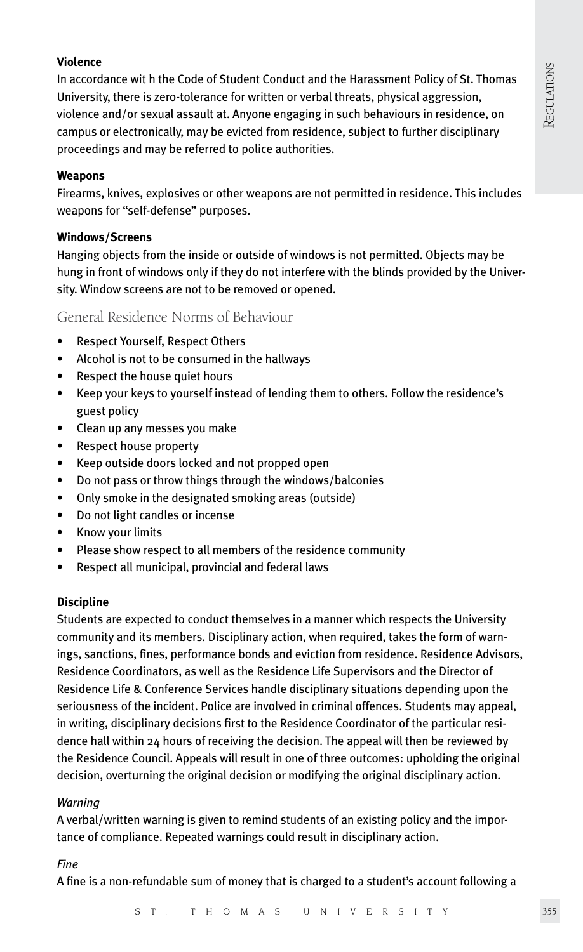## REGULATIONS **REGULATIONS**

#### **Violence**

In accordance wit h the Code of Student Conduct and the Harassment Policy of St. Thomas University, there is zero-tolerance for written or verbal threats, physical aggression, violence and/or sexual assault at. Anyone engaging in such behaviours in residence, on campus or electronically, may be evicted from residence, subject to further disciplinary proceedings and may be referred to police authorities.

#### **Weapons**

Firearms, knives, explosives or other weapons are not permitted in residence. This includes weapons for "self-defense" purposes.

#### **Windows/Screens**

Hanging objects from the inside or outside of windows is not permitted. Objects may be hung in front of windows only if they do not interfere with the blinds provided by the University. Window screens are not to be removed or opened.

## General Residence Norms of Behaviour

- Respect Yourself, Respect Others
- Alcohol is not to be consumed in the hallways
- Respect the house quiet hours
- Keep your keys to yourself instead of lending them to others. Follow the residence's guest policy
- Clean up any messes you make
- Respect house property
- Keep outside doors locked and not propped open
- Do not pass or throw things through the windows/balconies
- Only smoke in the designated smoking areas (outside)
- Do not light candles or incense
- Know your limits
- Please show respect to all members of the residence community
- Respect all municipal, provincial and federal laws

#### **Discipline**

Students are expected to conduct themselves in a manner which respects the University community and its members. Disciplinary action, when required, takes the form of warnings, sanctions, fines, performance bonds and eviction from residence. Residence Advisors, Residence Coordinators, as well as the Residence Life Supervisors and the Director of Residence Life & Conference Services handle disciplinary situations depending upon the seriousness of the incident. Police are involved in criminal offences. Students may appeal, in writing, disciplinary decisions first to the Residence Coordinator of the particular residence hall within 24 hours of receiving the decision. The appeal will then be reviewed by the Residence Council. Appeals will result in one of three outcomes: upholding the original decision, overturning the original decision or modifying the original disciplinary action.

#### *Warning*

A verbal/written warning is given to remind students of an existing policy and the importance of compliance. Repeated warnings could result in disciplinary action.

#### *Fine*

A fine is a non-refundable sum of money that is charged to a student's account following a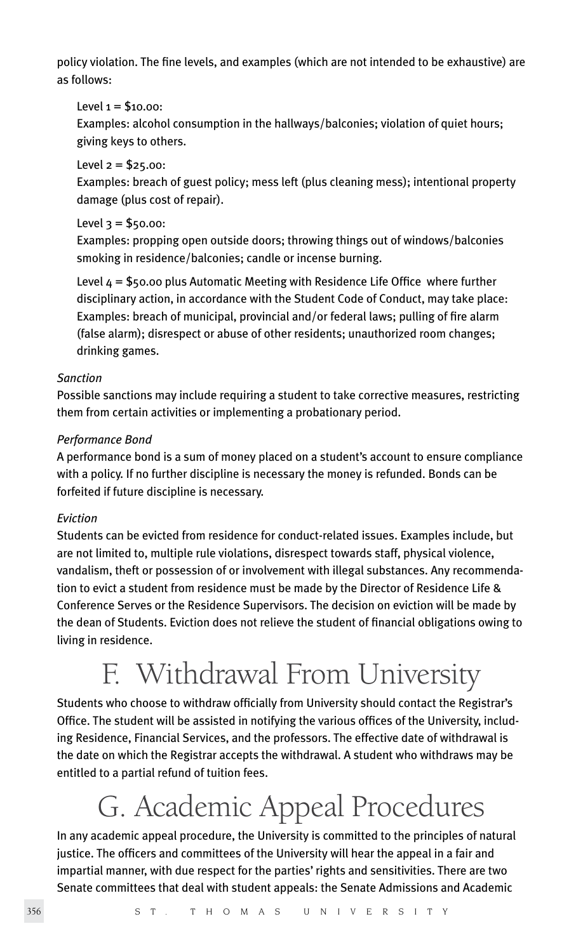policy violation. The fine levels, and examples (which are not intended to be exhaustive) are as follows:

#### Level  $1 = $10.00$ :

Examples: alcohol consumption in the hallways/balconies; violation of quiet hours; giving keys to others.

#### Level  $2 = $25.00$ :

Examples: breach of guest policy; mess left (plus cleaning mess); intentional property damage (plus cost of repair).

#### Level  $3 = $50.00$ :

Examples: propping open outside doors; throwing things out of windows/balconies smoking in residence/balconies; candle or incense burning.

Level  $4 = $50.00$  plus Automatic Meeting with Residence Life Office where further disciplinary action, in accordance with the Student Code of Conduct, may take place: Examples: breach of municipal, provincial and/or federal laws; pulling of fire alarm (false alarm); disrespect or abuse of other residents; unauthorized room changes; drinking games.

## *Sanction*

Possible sanctions may include requiring a student to take corrective measures, restricting them from certain activities or implementing a probationary period.

## *Performance Bond*

A performance bond is a sum of money placed on a student's account to ensure compliance with a policy. If no further discipline is necessary the money is refunded. Bonds can be forfeited if future discipline is necessary.

## *Eviction*

Students can be evicted from residence for conduct-related issues. Examples include, but are not limited to, multiple rule violations, disrespect towards staff, physical violence, vandalism, theft or possession of or involvement with illegal substances. Any recommendation to evict a student from residence must be made by the Director of Residence Life & Conference Serves or the Residence Supervisors. The decision on eviction will be made by the dean of Students. Eviction does not relieve the student of financial obligations owing to living in residence.

## F. Withdrawal From University

Students who choose to withdraw officially from University should contact the Registrar's Office. The student will be assisted in notifying the various offices of the University, including Residence, Financial Services, and the professors. The effective date of withdrawal is the date on which the Registrar accepts the withdrawal. A student who withdraws may be entitled to a partial refund of tuition fees.

## G. Academic Appeal Procedures

In any academic appeal procedure, the University is committed to the principles of natural justice. The officers and committees of the University will hear the appeal in a fair and impartial manner, with due respect for the parties' rights and sensitivities. There are two Senate committees that deal with student appeals: the Senate Admissions and Academic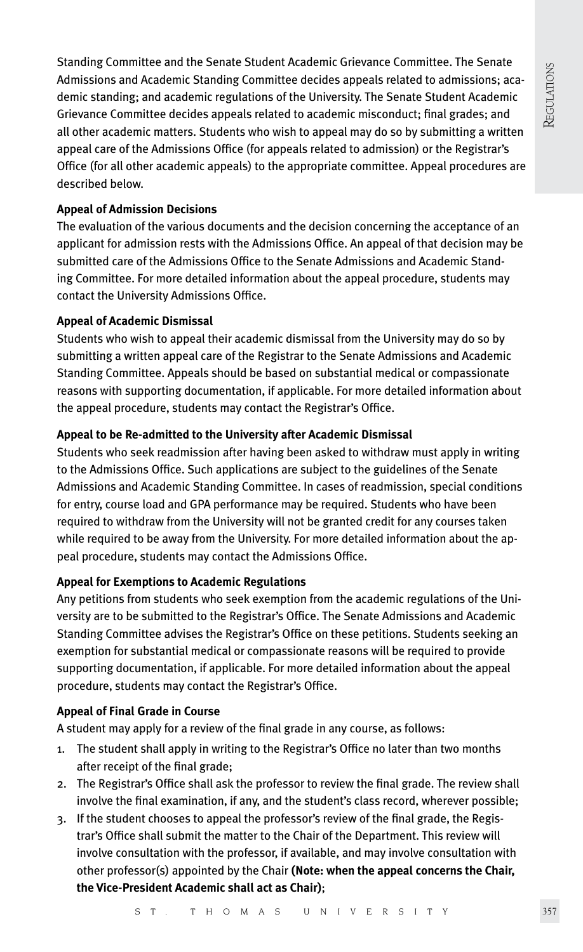Standing Committee and the Senate Student Academic Grievance Committee. The Senate Admissions and Academic Standing Committee decides appeals related to admissions; academic standing; and academic regulations of the University. The Senate Student Academic Grievance Committee decides appeals related to academic misconduct; final grades; and all other academic matters. Students who wish to appeal may do so by submitting a written appeal care of the Admissions Office (for appeals related to admission) or the Registrar's Office (for all other academic appeals) to the appropriate committee. Appeal procedures are described below.

## **Appeal of Admission Decisions**

The evaluation of the various documents and the decision concerning the acceptance of an applicant for admission rests with the Admissions Office. An appeal of that decision may be submitted care of the Admissions Office to the Senate Admissions and Academic Standing Committee. For more detailed information about the appeal procedure, students may contact the University Admissions Office.

## **Appeal of Academic Dismissal**

Students who wish to appeal their academic dismissal from the University may do so by submitting a written appeal care of the Registrar to the Senate Admissions and Academic Standing Committee. Appeals should be based on substantial medical or compassionate reasons with supporting documentation, if applicable. For more detailed information about the appeal procedure, students may contact the Registrar's Office.

## **Appeal to be Re-admitted to the University after Academic Dismissal**

Students who seek readmission after having been asked to withdraw must apply in writing to the Admissions Office. Such applications are subject to the guidelines of the Senate Admissions and Academic Standing Committee. In cases of readmission, special conditions for entry, course load and GPA performance may be required. Students who have been required to withdraw from the University will not be granted credit for any courses taken while required to be away from the University. For more detailed information about the appeal procedure, students may contact the Admissions Office.

## **Appeal for Exemptions to Academic Regulations**

Any petitions from students who seek exemption from the academic regulations of the University are to be submitted to the Registrar's Office. The Senate Admissions and Academic Standing Committee advises the Registrar's Office on these petitions. Students seeking an exemption for substantial medical or compassionate reasons will be required to provide supporting documentation, if applicable. For more detailed information about the appeal procedure, students may contact the Registrar's Office.

## **Appeal of Final Grade in Course**

A student may apply for a review of the final grade in any course, as follows:

- 1. The student shall apply in writing to the Registrar's Office no later than two months after receipt of the final grade;
- 2. The Registrar's Office shall ask the professor to review the final grade. The review shall involve the final examination, if any, and the student's class record, wherever possible;
- 3. If the student chooses to appeal the professor's review of the final grade, the Registrar's Office shall submit the matter to the Chair of the Department. This review will involve consultation with the professor, if available, and may involve consultation with other professor(s) appointed by the Chair **(Note: when the appeal concerns the Chair, the Vice-President Academic shall act as Chair)**;